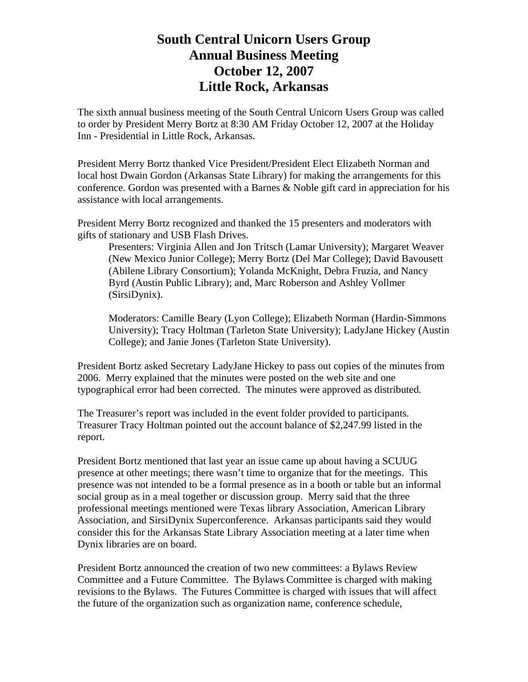## **South Central Unicorn Users Group Annual Business Meeting October 12, 2007 Little Rock, Arkansas**

The sixth annual business meeting of the South Central Unicorn Users Group was called to order by President Merry Bortz at 8:30 AM Friday October 12, 2007 at the Holiday Inn - Presidential in Little Rock, Arkansas.

President Merry Bortz thanked Vice President/President Elect Elizabeth Norman and local host Dwain Gordon (Arkansas State Library) for making the arrangements for this conference. Gordon was presented with a Barnes & Noble gift card in appreciation for his assistance with local arrangements.

President Merry Bortz recognized and thanked the 15 presenters and moderators with gifts of stationary and USB Flash Drives.

Presenters: Virginia Allen and Jon Tritsch (Lamar University); Margaret Weaver (New Mexico Junior College); Merry Bortz (Del Mar College); David Bavousett (Abilene Library Consortium); Yolanda McKnight, Debra Fruzia, and Nancy Byrd (Austin Public Library); and, Marc Roberson and Ashley Vollmer (SirsiDynix).

Moderators: Camille Beary (Lyon College); Elizabeth Norman (Hardin-Simmons University); Tracy Holtman (Tarleton State University); LadyJane Hickey (Austin College); and Janie Jones (Tarleton State University).

President Bortz asked Secretary LadyJane Hickey to pass out copies of the minutes from 2006. Merry explained that the minutes were posted on the web site and one typographical error had been corrected. The minutes were approved as distributed.

The Treasurer's report was included in the event folder provided to participants. Treasurer Tracy Holtman pointed out the account balance of \$2,247.99 listed in the report.

President Bortz mentioned that last year an issue came up about having a SCUUG presence at other meetings; there wasn't time to organize that for the meetings. This presence was not intended to be a formal presence as in a booth or table but an informal social group as in a meal together or discussion group. Merry said that the three professional meetings mentioned were Texas library Association, American Library Association, and SirsiDynix Superconference. Arkansas participants said they would consider this for the Arkansas State Library Association meeting at a later time when Dynix libraries are on board.

President Bortz announced the creation of two new committees: a Bylaws Review Committee and a Future Committee. The Bylaws Committee is charged with making revisions to the Bylaws. The Futures Committee is charged with issues that will affect the future of the organization such as organization name, conference schedule,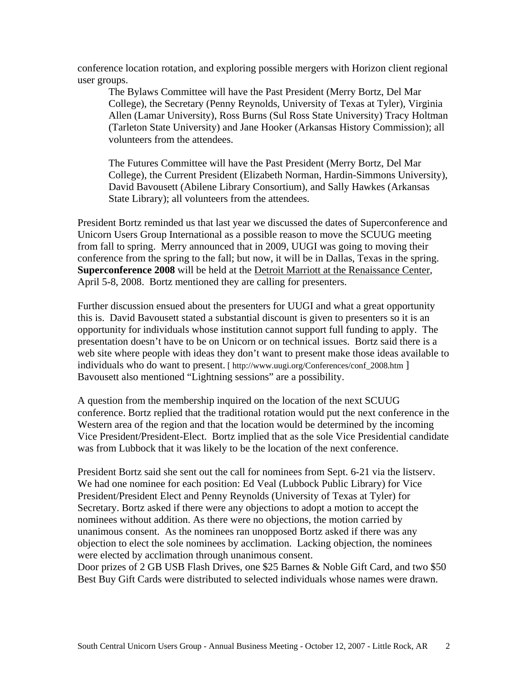conference location rotation, and exploring possible mergers with Horizon client regional user groups.

The Bylaws Committee will have the Past President (Merry Bortz, Del Mar College), the Secretary (Penny Reynolds, University of Texas at Tyler), Virginia Allen (Lamar University), Ross Burns (Sul Ross State University) Tracy Holtman (Tarleton State University) and Jane Hooker (Arkansas History Commission); all volunteers from the attendees.

The Futures Committee will have the Past President (Merry Bortz, Del Mar College), the Current President (Elizabeth Norman, Hardin-Simmons University), David Bavousett (Abilene Library Consortium), and Sally Hawkes (Arkansas State Library); all volunteers from the attendees.

President Bortz reminded us that last year we discussed the dates of Superconference and Unicorn Users Group International as a possible reason to move the SCUUG meeting from fall to spring. Merry announced that in 2009, UUGI was going to moving their conference from the spring to the fall; but now, it will be in Dallas, Texas in the spring. **Superconference 2008** will be held at the Detroit Marriott at the Renaissance Center, April 5-8, 2008. Bortz mentioned they are calling for presenters.

Further discussion ensued about the presenters for UUGI and what a great opportunity this is. David Bavousett stated a substantial discount is given to presenters so it is an opportunity for individuals whose institution cannot support full funding to apply. The presentation doesn't have to be on Unicorn or on technical issues. Bortz said there is a web site where people with ideas they don't want to present make those ideas available to individuals who do want to present. [ http://www.uugi.org/Conferences/conf\_2008.htm ] Bavousett also mentioned "Lightning sessions" are a possibility.

A question from the membership inquired on the location of the next SCUUG conference. Bortz replied that the traditional rotation would put the next conference in the Western area of the region and that the location would be determined by the incoming Vice President/President-Elect. Bortz implied that as the sole Vice Presidential candidate was from Lubbock that it was likely to be the location of the next conference.

President Bortz said she sent out the call for nominees from Sept. 6-21 via the listserv. We had one nominee for each position: Ed Veal (Lubbock Public Library) for Vice President/President Elect and Penny Reynolds (University of Texas at Tyler) for Secretary. Bortz asked if there were any objections to adopt a motion to accept the nominees without addition. As there were no objections, the motion carried by unanimous consent. As the nominees ran unopposed Bortz asked if there was any objection to elect the sole nominees by acclimation. Lacking objection, the nominees were elected by acclimation through unanimous consent.

Door prizes of 2 GB USB Flash Drives, one \$25 Barnes & Noble Gift Card, and two \$50 Best Buy Gift Cards were distributed to selected individuals whose names were drawn.